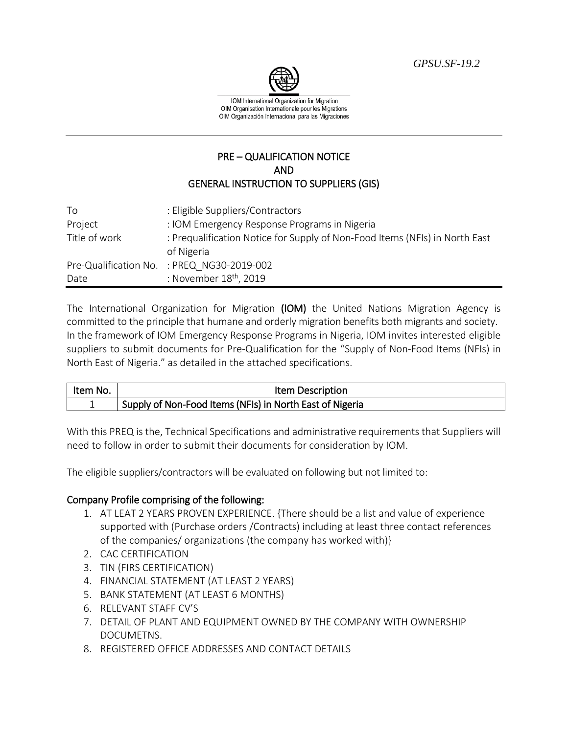*GPSU.SF-19.2*



IOM International Organization for Migration OIM Organisation Internationale pour les Migrations OIM Organización Internacional para las Migraciones

## PRE – QUALIFICATION NOTICE AND GENERAL INSTRUCTION TO SUPPLIERS (GIS)

| To            | : Eligible Suppliers/Contractors                                                          |
|---------------|-------------------------------------------------------------------------------------------|
| Project       | : IOM Emergency Response Programs in Nigeria                                              |
| Title of work | : Prequalification Notice for Supply of Non-Food Items (NFIs) in North East<br>of Nigeria |
|               | Pre-Qualification No. : PREQ NG30-2019-002                                                |
| Date          | : November 18 <sup>th</sup> , 2019                                                        |

The International Organization for Migration (IOM) the United Nations Migration Agency is committed to the principle that humane and orderly migration benefits both migrants and society. In the framework of IOM Emergency Response Programs in Nigeria, IOM invites interested eligible suppliers to submit documents for Pre-Qualification for the "Supply of Non-Food Items (NFIs) in North East of Nigeria." as detailed in the attached specifications.

| Item No. | Item Description                                         |
|----------|----------------------------------------------------------|
| <b>_</b> | Supply of Non-Food Items (NFIs) in North East of Nigeria |

With this PREQ is the, Technical Specifications and administrative requirements that Suppliers will need to follow in order to submit their documents for consideration by IOM.

The eligible suppliers/contractors will be evaluated on following but not limited to:

## Company Profile comprising of the following:

- 1. AT LEAT 2 YEARS PROVEN EXPERIENCE. {There should be a list and value of experience supported with (Purchase orders /Contracts) including at least three contact references of the companies/ organizations (the company has worked with)}
- 2. CAC CERTIFICATION
- 3. TIN (FIRS CERTIFICATION)
- 4. FINANCIAL STATEMENT (AT LEAST 2 YEARS)
- 5. BANK STATEMENT (AT LEAST 6 MONTHS)
- 6. RELEVANT STAFF CV'S
- 7. DETAIL OF PLANT AND EQUIPMENT OWNED BY THE COMPANY WITH OWNERSHIP DOCUMETNS.
- 8. REGISTERED OFFICE ADDRESSES AND CONTACT DETAILS